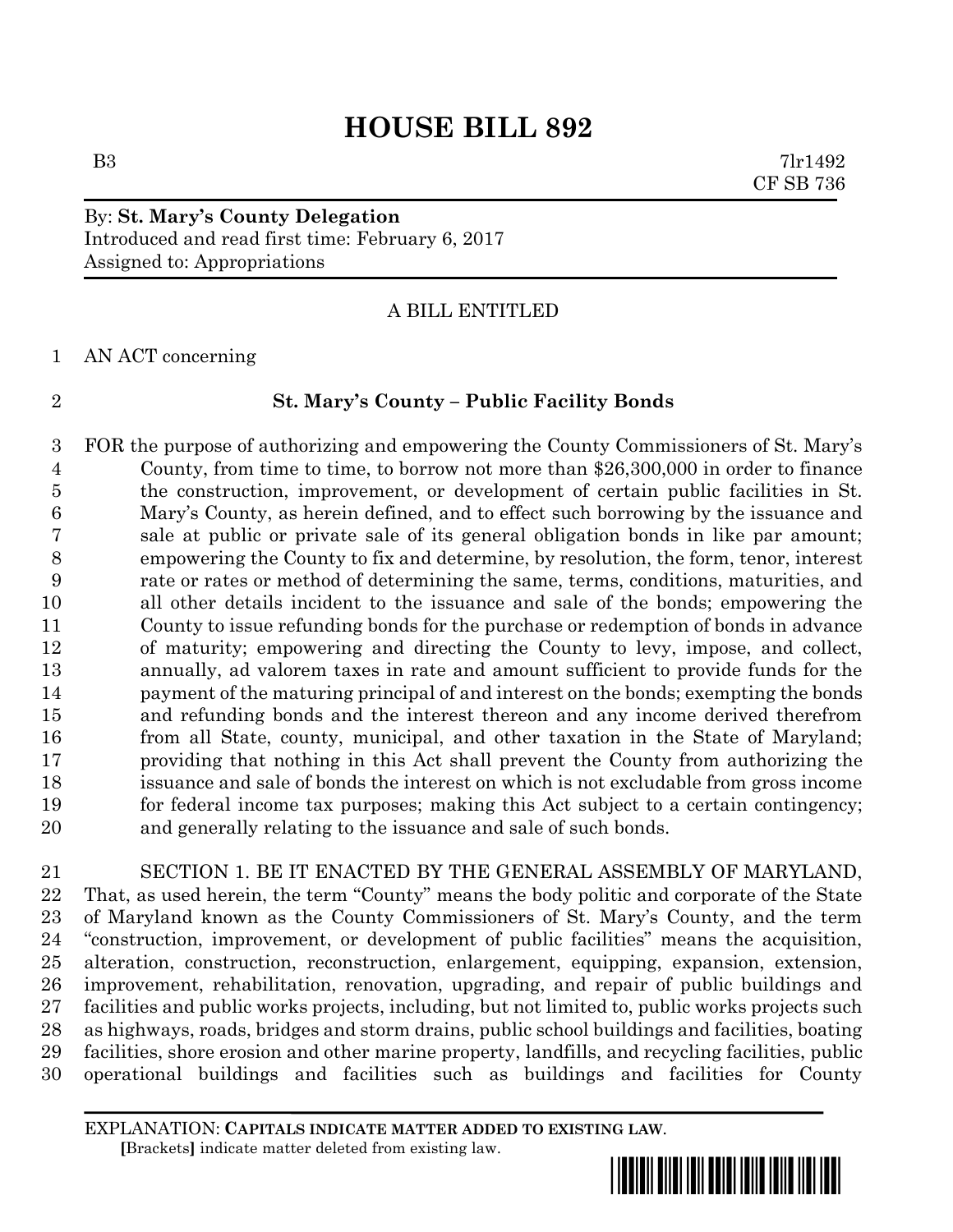# **HOUSE BILL 892**

B3 7lr1492 CF SB 736

# By: **St. Mary's County Delegation** Introduced and read first time: February 6, 2017 Assigned to: Appropriations

# A BILL ENTITLED

AN ACT concerning

## **St. Mary's County – Public Facility Bonds**

 FOR the purpose of authorizing and empowering the County Commissioners of St. Mary's County, from time to time, to borrow not more than \$26,300,000 in order to finance the construction, improvement, or development of certain public facilities in St. Mary's County, as herein defined, and to effect such borrowing by the issuance and sale at public or private sale of its general obligation bonds in like par amount; empowering the County to fix and determine, by resolution, the form, tenor, interest rate or rates or method of determining the same, terms, conditions, maturities, and all other details incident to the issuance and sale of the bonds; empowering the County to issue refunding bonds for the purchase or redemption of bonds in advance of maturity; empowering and directing the County to levy, impose, and collect, annually, ad valorem taxes in rate and amount sufficient to provide funds for the payment of the maturing principal of and interest on the bonds; exempting the bonds and refunding bonds and the interest thereon and any income derived therefrom from all State, county, municipal, and other taxation in the State of Maryland; providing that nothing in this Act shall prevent the County from authorizing the issuance and sale of bonds the interest on which is not excludable from gross income for federal income tax purposes; making this Act subject to a certain contingency; and generally relating to the issuance and sale of such bonds.

 SECTION 1. BE IT ENACTED BY THE GENERAL ASSEMBLY OF MARYLAND, That, as used herein, the term "County" means the body politic and corporate of the State of Maryland known as the County Commissioners of St. Mary's County, and the term "construction, improvement, or development of public facilities" means the acquisition, alteration, construction, reconstruction, enlargement, equipping, expansion, extension, improvement, rehabilitation, renovation, upgrading, and repair of public buildings and facilities and public works projects, including, but not limited to, public works projects such as highways, roads, bridges and storm drains, public school buildings and facilities, boating facilities, shore erosion and other marine property, landfills, and recycling facilities, public operational buildings and facilities such as buildings and facilities for County

EXPLANATION: **CAPITALS INDICATE MATTER ADDED TO EXISTING LAW**.  **[**Brackets**]** indicate matter deleted from existing law.

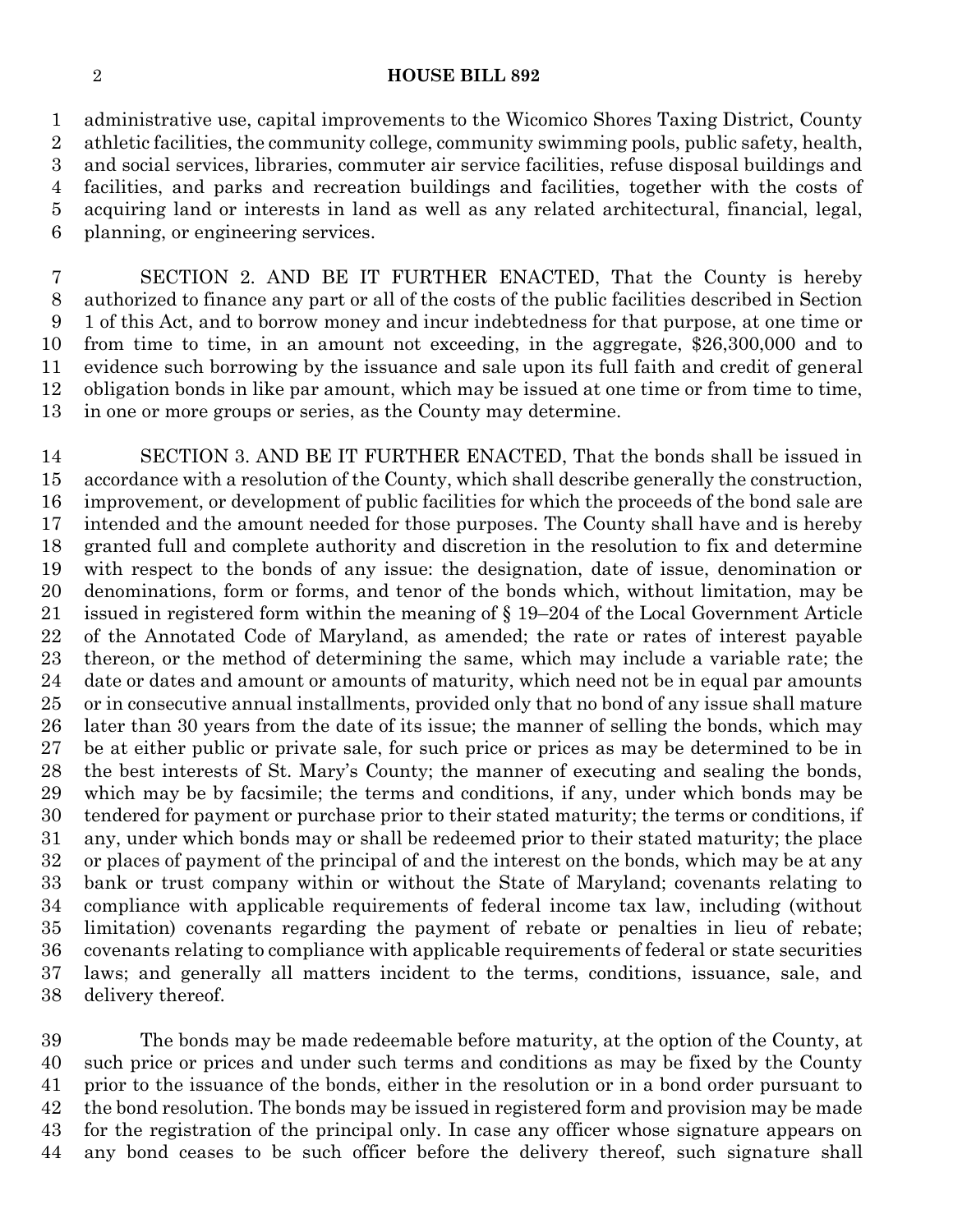## **HOUSE BILL 892**

 administrative use, capital improvements to the Wicomico Shores Taxing District, County athletic facilities, the community college, community swimming pools, public safety, health, and social services, libraries, commuter air service facilities, refuse disposal buildings and facilities, and parks and recreation buildings and facilities, together with the costs of acquiring land or interests in land as well as any related architectural, financial, legal, planning, or engineering services.

 SECTION 2. AND BE IT FURTHER ENACTED, That the County is hereby authorized to finance any part or all of the costs of the public facilities described in Section 1 of this Act, and to borrow money and incur indebtedness for that purpose, at one time or from time to time, in an amount not exceeding, in the aggregate, \$26,300,000 and to evidence such borrowing by the issuance and sale upon its full faith and credit of general obligation bonds in like par amount, which may be issued at one time or from time to time, in one or more groups or series, as the County may determine.

 SECTION 3. AND BE IT FURTHER ENACTED, That the bonds shall be issued in accordance with a resolution of the County, which shall describe generally the construction, improvement, or development of public facilities for which the proceeds of the bond sale are intended and the amount needed for those purposes. The County shall have and is hereby granted full and complete authority and discretion in the resolution to fix and determine with respect to the bonds of any issue: the designation, date of issue, denomination or denominations, form or forms, and tenor of the bonds which, without limitation, may be issued in registered form within the meaning of § 19–204 of the Local Government Article of the Annotated Code of Maryland, as amended; the rate or rates of interest payable thereon, or the method of determining the same, which may include a variable rate; the date or dates and amount or amounts of maturity, which need not be in equal par amounts or in consecutive annual installments, provided only that no bond of any issue shall mature later than 30 years from the date of its issue; the manner of selling the bonds, which may be at either public or private sale, for such price or prices as may be determined to be in the best interests of St. Mary's County; the manner of executing and sealing the bonds, which may be by facsimile; the terms and conditions, if any, under which bonds may be tendered for payment or purchase prior to their stated maturity; the terms or conditions, if any, under which bonds may or shall be redeemed prior to their stated maturity; the place or places of payment of the principal of and the interest on the bonds, which may be at any bank or trust company within or without the State of Maryland; covenants relating to compliance with applicable requirements of federal income tax law, including (without limitation) covenants regarding the payment of rebate or penalties in lieu of rebate; covenants relating to compliance with applicable requirements of federal or state securities laws; and generally all matters incident to the terms, conditions, issuance, sale, and delivery thereof.

 The bonds may be made redeemable before maturity, at the option of the County, at such price or prices and under such terms and conditions as may be fixed by the County prior to the issuance of the bonds, either in the resolution or in a bond order pursuant to the bond resolution. The bonds may be issued in registered form and provision may be made for the registration of the principal only. In case any officer whose signature appears on any bond ceases to be such officer before the delivery thereof, such signature shall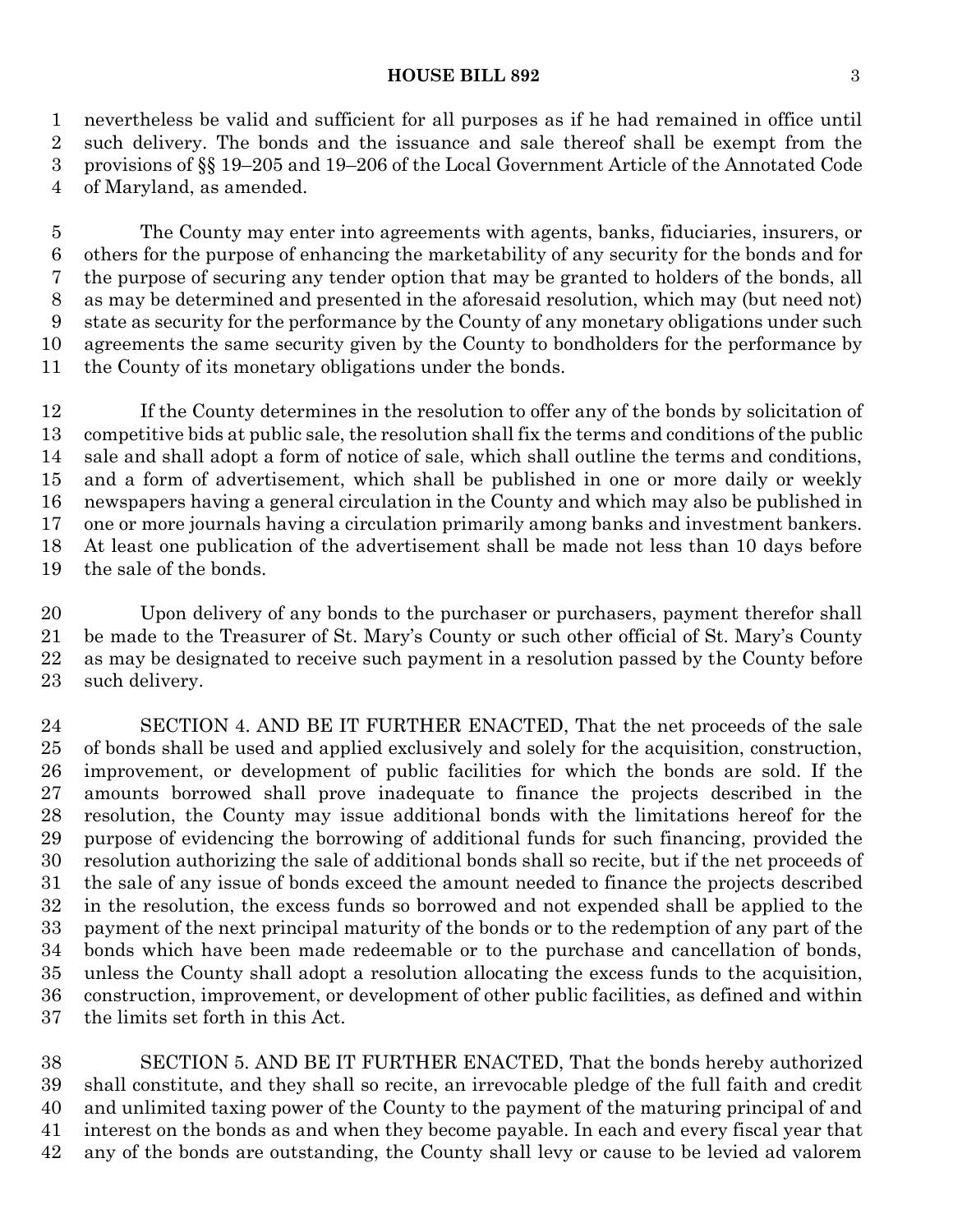#### **HOUSE BILL 892** 3

 nevertheless be valid and sufficient for all purposes as if he had remained in office until such delivery. The bonds and the issuance and sale thereof shall be exempt from the provisions of §§ 19–205 and 19–206 of the Local Government Article of the Annotated Code of Maryland, as amended.

 The County may enter into agreements with agents, banks, fiduciaries, insurers, or others for the purpose of enhancing the marketability of any security for the bonds and for the purpose of securing any tender option that may be granted to holders of the bonds, all as may be determined and presented in the aforesaid resolution, which may (but need not) state as security for the performance by the County of any monetary obligations under such agreements the same security given by the County to bondholders for the performance by the County of its monetary obligations under the bonds.

 If the County determines in the resolution to offer any of the bonds by solicitation of competitive bids at public sale, the resolution shall fix the terms and conditions of the public sale and shall adopt a form of notice of sale, which shall outline the terms and conditions, and a form of advertisement, which shall be published in one or more daily or weekly newspapers having a general circulation in the County and which may also be published in one or more journals having a circulation primarily among banks and investment bankers. At least one publication of the advertisement shall be made not less than 10 days before the sale of the bonds.

 Upon delivery of any bonds to the purchaser or purchasers, payment therefor shall be made to the Treasurer of St. Mary's County or such other official of St. Mary's County as may be designated to receive such payment in a resolution passed by the County before such delivery.

 SECTION 4. AND BE IT FURTHER ENACTED, That the net proceeds of the sale of bonds shall be used and applied exclusively and solely for the acquisition, construction, improvement, or development of public facilities for which the bonds are sold. If the amounts borrowed shall prove inadequate to finance the projects described in the resolution, the County may issue additional bonds with the limitations hereof for the purpose of evidencing the borrowing of additional funds for such financing, provided the resolution authorizing the sale of additional bonds shall so recite, but if the net proceeds of the sale of any issue of bonds exceed the amount needed to finance the projects described in the resolution, the excess funds so borrowed and not expended shall be applied to the payment of the next principal maturity of the bonds or to the redemption of any part of the bonds which have been made redeemable or to the purchase and cancellation of bonds, unless the County shall adopt a resolution allocating the excess funds to the acquisition, construction, improvement, or development of other public facilities, as defined and within the limits set forth in this Act.

 SECTION 5. AND BE IT FURTHER ENACTED, That the bonds hereby authorized shall constitute, and they shall so recite, an irrevocable pledge of the full faith and credit and unlimited taxing power of the County to the payment of the maturing principal of and interest on the bonds as and when they become payable. In each and every fiscal year that any of the bonds are outstanding, the County shall levy or cause to be levied ad valorem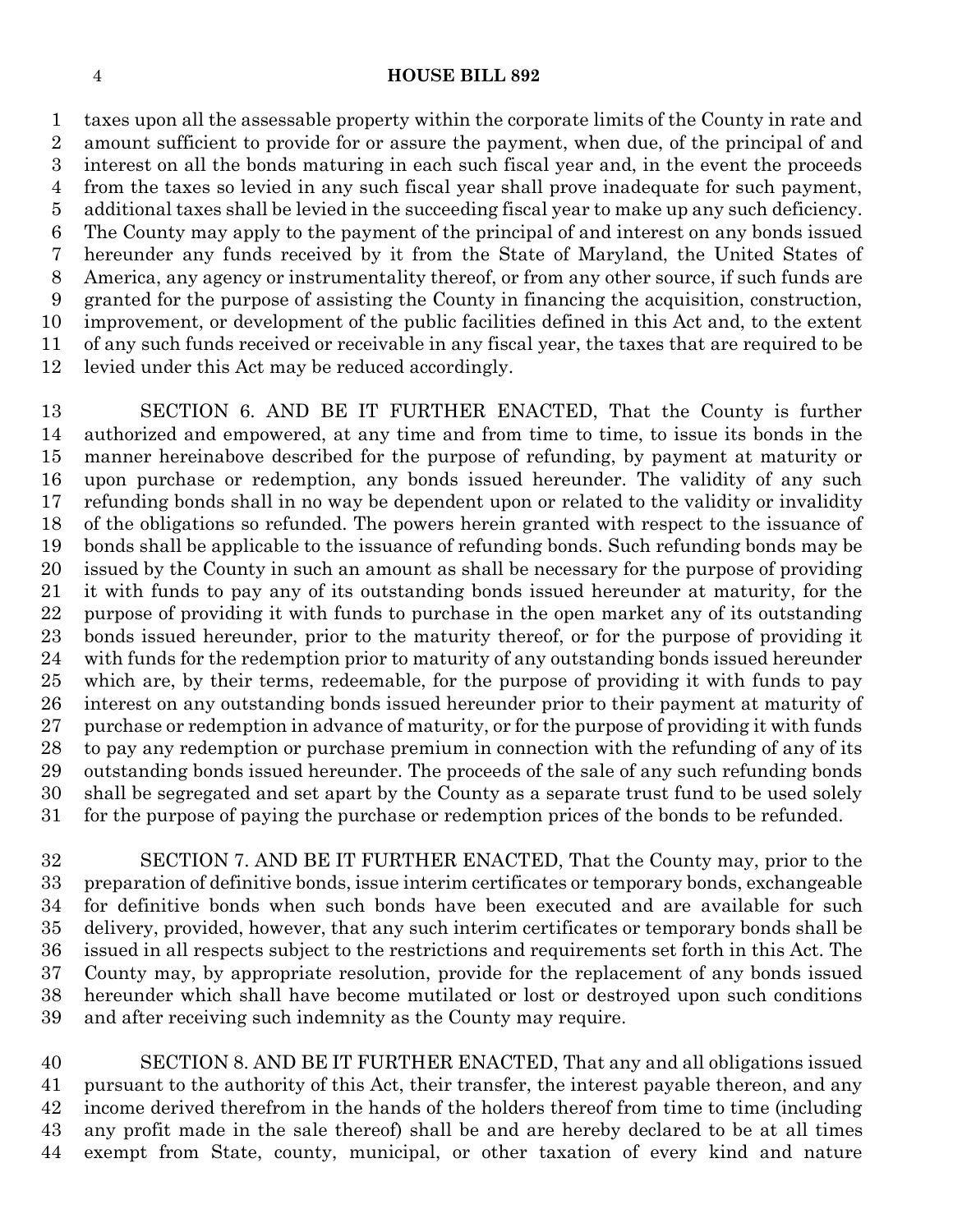#### **HOUSE BILL 892**

 taxes upon all the assessable property within the corporate limits of the County in rate and amount sufficient to provide for or assure the payment, when due, of the principal of and interest on all the bonds maturing in each such fiscal year and, in the event the proceeds from the taxes so levied in any such fiscal year shall prove inadequate for such payment, additional taxes shall be levied in the succeeding fiscal year to make up any such deficiency. The County may apply to the payment of the principal of and interest on any bonds issued hereunder any funds received by it from the State of Maryland, the United States of America, any agency or instrumentality thereof, or from any other source, if such funds are granted for the purpose of assisting the County in financing the acquisition, construction, improvement, or development of the public facilities defined in this Act and, to the extent of any such funds received or receivable in any fiscal year, the taxes that are required to be levied under this Act may be reduced accordingly.

 SECTION 6. AND BE IT FURTHER ENACTED, That the County is further authorized and empowered, at any time and from time to time, to issue its bonds in the manner hereinabove described for the purpose of refunding, by payment at maturity or upon purchase or redemption, any bonds issued hereunder. The validity of any such refunding bonds shall in no way be dependent upon or related to the validity or invalidity of the obligations so refunded. The powers herein granted with respect to the issuance of bonds shall be applicable to the issuance of refunding bonds. Such refunding bonds may be issued by the County in such an amount as shall be necessary for the purpose of providing it with funds to pay any of its outstanding bonds issued hereunder at maturity, for the purpose of providing it with funds to purchase in the open market any of its outstanding bonds issued hereunder, prior to the maturity thereof, or for the purpose of providing it with funds for the redemption prior to maturity of any outstanding bonds issued hereunder which are, by their terms, redeemable, for the purpose of providing it with funds to pay interest on any outstanding bonds issued hereunder prior to their payment at maturity of purchase or redemption in advance of maturity, or for the purpose of providing it with funds to pay any redemption or purchase premium in connection with the refunding of any of its outstanding bonds issued hereunder. The proceeds of the sale of any such refunding bonds shall be segregated and set apart by the County as a separate trust fund to be used solely for the purpose of paying the purchase or redemption prices of the bonds to be refunded.

 SECTION 7. AND BE IT FURTHER ENACTED, That the County may, prior to the preparation of definitive bonds, issue interim certificates or temporary bonds, exchangeable for definitive bonds when such bonds have been executed and are available for such delivery, provided, however, that any such interim certificates or temporary bonds shall be issued in all respects subject to the restrictions and requirements set forth in this Act. The County may, by appropriate resolution, provide for the replacement of any bonds issued hereunder which shall have become mutilated or lost or destroyed upon such conditions and after receiving such indemnity as the County may require.

 SECTION 8. AND BE IT FURTHER ENACTED, That any and all obligations issued pursuant to the authority of this Act, their transfer, the interest payable thereon, and any income derived therefrom in the hands of the holders thereof from time to time (including any profit made in the sale thereof) shall be and are hereby declared to be at all times exempt from State, county, municipal, or other taxation of every kind and nature